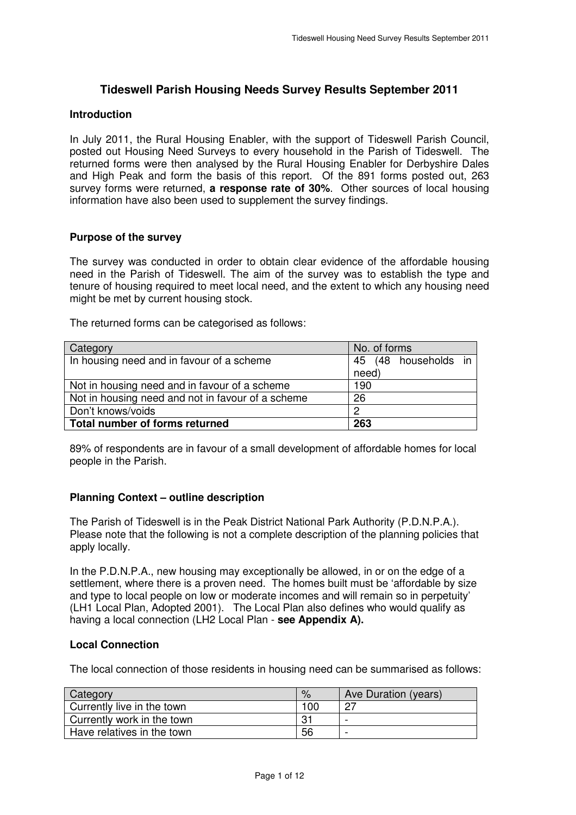# **Tideswell Parish Housing Needs Survey Results September 2011**

#### **Introduction**

 In July 2011, the Rural Housing Enabler, with the support of Tideswell Parish Council, posted out Housing Need Surveys to every household in the Parish of Tideswell. The returned forms were then analysed by the Rural Housing Enabler for Derbyshire Dales and High Peak and form the basis of this report. Of the 891 forms posted out, 263 survey forms were returned, **a response rate of 30%**. Other sources of local housing information have also been used to supplement the survey findings.

# **Purpose of the survey**

 The survey was conducted in order to obtain clear evidence of the affordable housing need in the Parish of Tideswell. The aim of the survey was to establish the type and tenure of housing required to meet local need, and the extent to which any housing need might be met by current housing stock.

The returned forms can be categorised as follows:

| Category                                          | No. of forms         |
|---------------------------------------------------|----------------------|
| In housing need and in favour of a scheme         | 45 (48 households in |
|                                                   | need)                |
| Not in housing need and in favour of a scheme     | 190                  |
| Not in housing need and not in favour of a scheme | 26                   |
| Don't knows/voids                                 | 0                    |
| Total number of forms returned                    | 263                  |

 89% of respondents are in favour of a small development of affordable homes for local people in the Parish.

# **Planning Context – outline description**

 The Parish of Tideswell is in the Peak District National Park Authority (P.D.N.P.A.). Please note that the following is not a complete description of the planning policies that apply locally.

 In the P.D.N.P.A., new housing may exceptionally be allowed, in or on the edge of a settlement, where there is a proven need. The homes built must be 'affordable by size and type to local people on low or moderate incomes and will remain so in perpetuity' (LH1 Local Plan, Adopted 2001). The Local Plan also defines who would qualify as having a local connection (LH2 Local Plan - **see Appendix A).** 

# **Local Connection**

The local connection of those residents in housing need can be summarised as follows:

| Category                   | $\%$ | Ave Duration (years) |
|----------------------------|------|----------------------|
| Currently live in the town | 100  |                      |
| Currently work in the town | -31  |                      |
| Have relatives in the town | 56   |                      |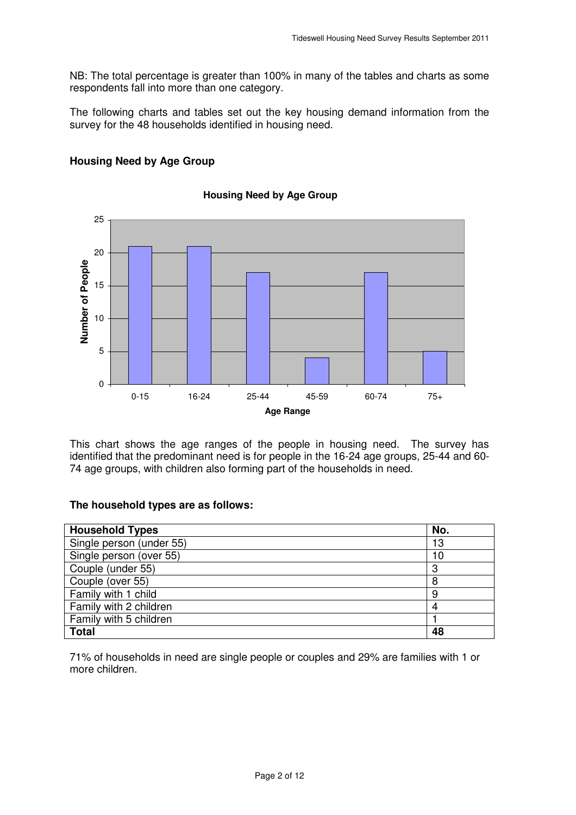NB: The total percentage is greater than 100% in many of the tables and charts as some respondents fall into more than one category.

 The following charts and tables set out the key housing demand information from the survey for the 48 households identified in housing need.



# **Housing Need by Age Group**

 This chart shows the age ranges of the people in housing need. The survey has identified that the predominant need is for people in the 16-24 age groups, 25-44 and 60- 74 age groups, with children also forming part of the households in need.

### **The household types are as follows:**

| <b>Household Types</b>   | No. |
|--------------------------|-----|
| Single person (under 55) | 13  |
| Single person (over 55)  | 10  |
| Couple (under 55)        | 3   |
| Couple (over 55)         | 8   |
| Family with 1 child      | 9   |
| Family with 2 children   |     |
| Family with 5 children   |     |
| <b>Total</b>             | 48  |

 71% of households in need are single people or couples and 29% are families with 1 or more children.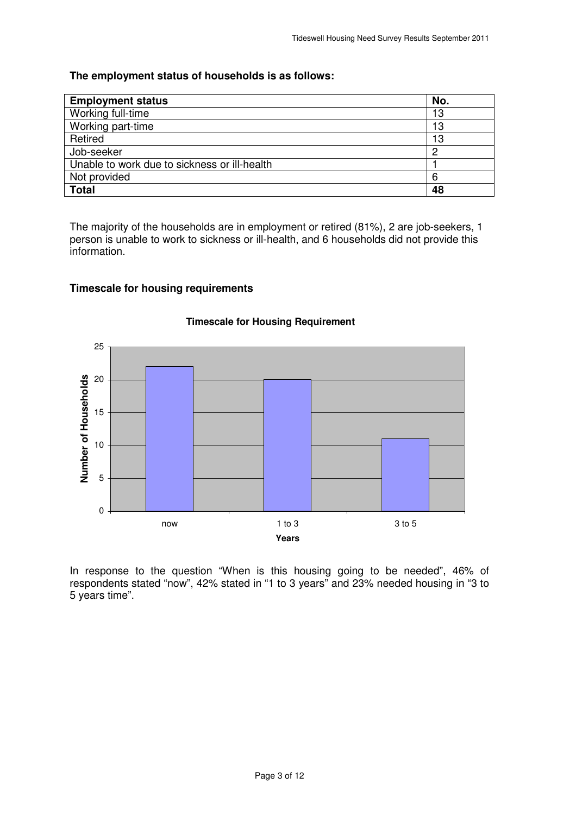# **The employment status of households is as follows:**

| <b>Employment status</b>                     | No. |
|----------------------------------------------|-----|
| Working full-time                            | 13  |
| Working part-time                            | 13  |
| Retired                                      | 13  |
| Job-seeker                                   | ∩   |
| Unable to work due to sickness or ill-health |     |
| Not provided                                 | 6   |
| <b>Total</b>                                 | 48  |

 The majority of the households are in employment or retired (81%), 2 are job-seekers, 1 person is unable to work to sickness or ill-health, and 6 households did not provide this information.

# **Timescale for housing requirements**



# **Timescale for Housing Requirement**

 In response to the question "When is this housing going to be needed", 46% of respondents stated "now", 42% stated in "1 to 3 years" and 23% needed housing in "3 to 5 years time".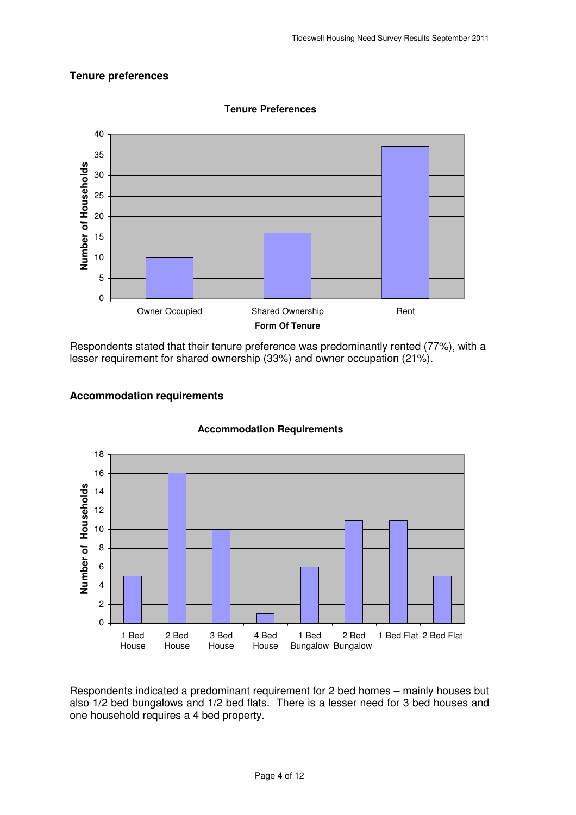# **Tenure preferences**



**Tenure Preferences** 

 Respondents stated that their tenure preference was predominantly rented (77%), with a lesser requirement for shared ownership (33%) and owner occupation (21%).





 Respondents indicated a predominant requirement for 2 bed homes – mainly houses but also 1/2 bed bungalows and 1/2 bed flats. There is a lesser need for 3 bed houses and one household requires a 4 bed property.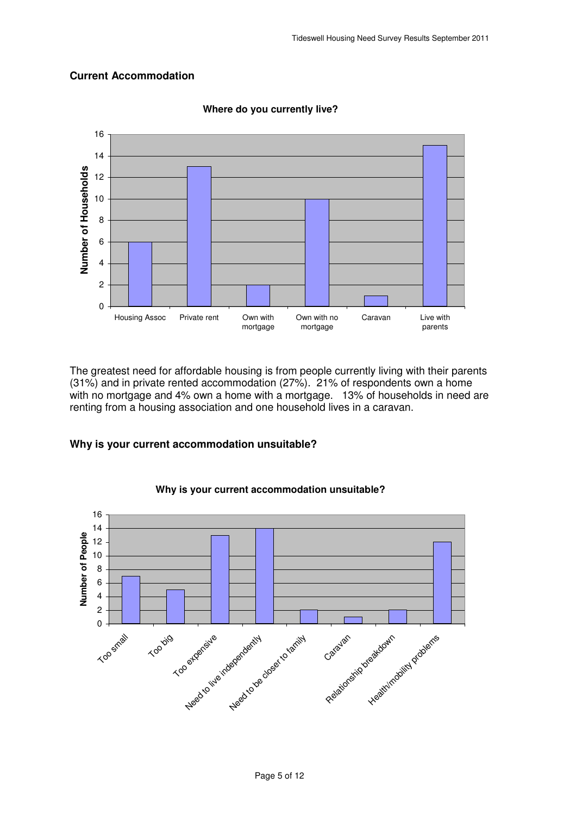# **Current Accommodation**



 **Current Accommodation Where do you currently live?** 

 The greatest need for affordable housing is from people currently living with their parents (31%) and in private rented accommodation (27%). 21% of respondents own a home with no mortgage and 4% own a home with a mortgage. 13% of households in need are renting from a housing association and one household lives in a caravan.

#### **Why is your current accommodation unsuitable?**



#### **Why is your current accommodation unsuitable?**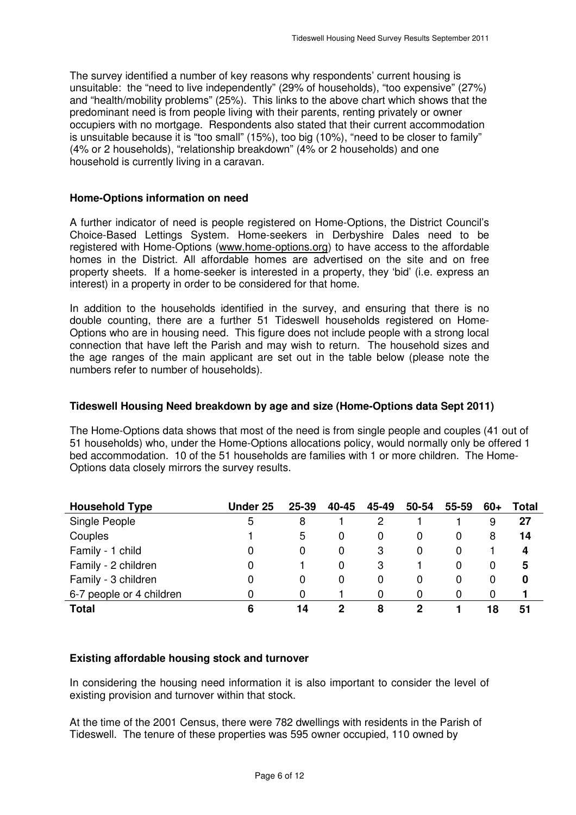The survey identified a number of key reasons why respondents' current housing is unsuitable: the "need to live independently" (29% of households), "too expensive" (27%) and "health/mobility problems" (25%). This links to the above chart which shows that the predominant need is from people living with their parents, renting privately or owner occupiers with no mortgage. Respondents also stated that their current accommodation is unsuitable because it is "too small" (15%), too big (10%), "need to be closer to family" (4% or 2 households), "relationship breakdown" (4% or 2 households) and one household is currently living in a caravan.

### **Home-Options information on need**

 A further indicator of need is people registered on Home-Options, the District Council's Choice-Based Lettings System. Home-seekers in Derbyshire Dales need to be registered with Home-Options [\(www.home-options.org\)](www.home-options.org) to have access to the affordable homes in the District. All affordable homes are advertised on the site and on free property sheets. If a home-seeker is interested in a property, they 'bid' (i.e. express an interest) in a property in order to be considered for that home.

 In addition to the households identified in the survey, and ensuring that there is no double counting, there are a further 51 Tideswell households registered on Home- Options who are in housing need. This figure does not include people with a strong local connection that have left the Parish and may wish to return. The household sizes and the age ranges of the main applicant are set out in the table below (please note the numbers refer to number of households).

#### **Tideswell Housing Need breakdown by age and size (Home-Options data Sept 2011)**

 The Home-Options data shows that most of the need is from single people and couples (41 out of 51 households) who, under the Home-Options allocations policy, would normally only be offered 1 bed accommodation. 10 of the 51 households are families with 1 or more children. The Home-Options data closely mirrors the survey results.

| <b>Household Type</b>    | <b>Under 25</b> | 25-39 | 40-45 | 45-49 | 50-54 | 55-59 | 60+ | Total |
|--------------------------|-----------------|-------|-------|-------|-------|-------|-----|-------|
| Single People            | 5               | 8     |       | 2     |       |       | 9   | 27    |
| Couples                  |                 | 5     | 0     | 0     | 0     | 0     | 8   | 14    |
| Family - 1 child         | 0               |       | 0     | 3     | 0     | O     |     | 4     |
| Family - 2 children      |                 |       | 0     | 3     |       | 0     | 0   | 5     |
| Family - 3 children      |                 |       | 0     | 0     | 0     | 0     | 0   | 0     |
| 6-7 people or 4 children | 0               |       |       | 0     | O     | O     | 0   |       |
| <b>Total</b>             | 6               | 14    | 2     | 8     | כי    |       | 18  | 51    |

# **Existing affordable housing stock and turnover**

 In considering the housing need information it is also important to consider the level of existing provision and turnover within that stock.

 At the time of the 2001 Census, there were 782 dwellings with residents in the Parish of Tideswell. The tenure of these properties was 595 owner occupied, 110 owned by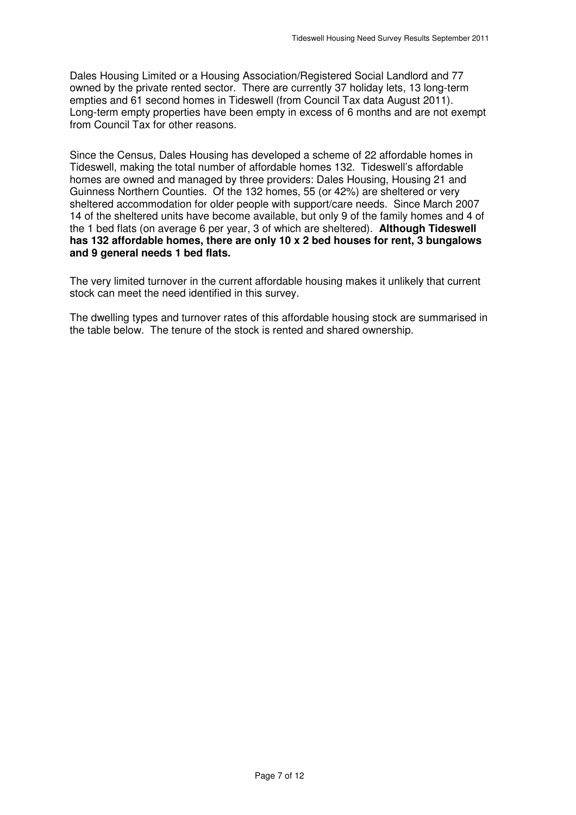Dales Housing Limited or a Housing Association/Registered Social Landlord and 77 owned by the private rented sector. There are currently 37 holiday lets, 13 long-term empties and 61 second homes in Tideswell (from Council Tax data August 2011). Long-term empty properties have been empty in excess of 6 months and are not exempt from Council Tax for other reasons.

 Since the Census, Dales Housing has developed a scheme of 22 affordable homes in Tideswell, making the total number of affordable homes 132. Tideswell's affordable homes are owned and managed by three providers: Dales Housing, Housing 21 and Guinness Northern Counties. Of the 132 homes, 55 (or 42%) are sheltered or very sheltered accommodation for older people with support/care needs. Since March 2007 14 of the sheltered units have become available, but only 9 of the family homes and 4 of the 1 bed flats (on average 6 per year, 3 of which are sheltered). **Although Tideswell has 132 affordable homes, there are only 10 x 2 bed houses for rent, 3 bungalows and 9 general needs 1 bed flats.** 

 The very limited turnover in the current affordable housing makes it unlikely that current stock can meet the need identified in this survey.

 The dwelling types and turnover rates of this affordable housing stock are summarised in the table below. The tenure of the stock is rented and shared ownership.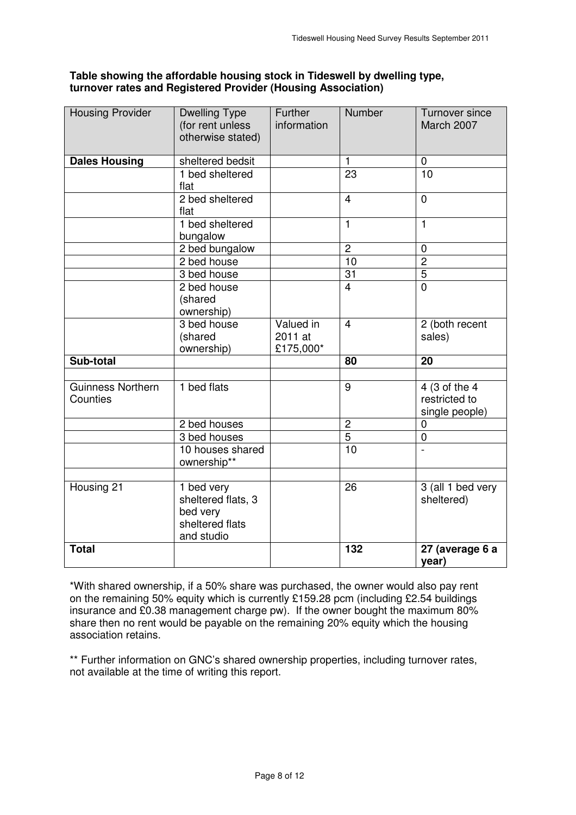# **Table showing the affordable housing stock in Tideswell by dwelling type, turnover rates and Registered Provider (Housing Association)**

| <b>Housing Provider</b>       | <b>Dwelling Type</b><br>(for rent unless<br>otherwise stated)                 | Further<br>information            | Number         | <b>Turnover since</b><br>March 2007              |
|-------------------------------|-------------------------------------------------------------------------------|-----------------------------------|----------------|--------------------------------------------------|
| <b>Dales Housing</b>          | sheltered bedsit                                                              |                                   | $\mathbf{1}$   | $\mathbf 0$                                      |
|                               | 1 bed sheltered<br>flat                                                       |                                   | 23             | 10                                               |
|                               | 2 bed sheltered<br>flat                                                       |                                   | $\overline{4}$ | $\mathbf 0$                                      |
|                               | 1 bed sheltered<br>bungalow                                                   |                                   | $\mathbf{1}$   | 1                                                |
|                               | 2 bed bungalow                                                                |                                   | $\overline{2}$ | $\mathbf 0$                                      |
|                               | 2 bed house                                                                   |                                   | 10             | $\overline{c}$                                   |
|                               | 3 bed house                                                                   |                                   | 31             | $\overline{5}$                                   |
|                               | 2 bed house<br>(shared<br>ownership)                                          |                                   | $\overline{4}$ | $\overline{0}$                                   |
|                               | 3 bed house<br>(shared<br>ownership)                                          | Valued in<br>2011 at<br>£175,000* | $\overline{4}$ | 2 (both recent<br>sales)                         |
| Sub-total                     |                                                                               |                                   | 80             | $\overline{20}$                                  |
|                               |                                                                               |                                   |                |                                                  |
| Guinness Northern<br>Counties | 1 bed flats                                                                   |                                   | $\overline{9}$ | 4 (3 of the 4<br>restricted to<br>single people) |
|                               | 2 bed houses                                                                  |                                   | $\overline{c}$ | $\mathbf 0$                                      |
|                               | 3 bed houses                                                                  |                                   | $\overline{5}$ | $\mathbf 0$                                      |
|                               | $\overline{10}$ houses shared<br>ownership**                                  |                                   | 10             | $\overline{a}$                                   |
|                               |                                                                               |                                   |                |                                                  |
| Housing 21                    | 1 bed very<br>sheltered flats, 3<br>bed very<br>sheltered flats<br>and studio |                                   | 26             | 3 (all 1 bed very<br>sheltered)                  |
| <b>Total</b>                  |                                                                               |                                   | 132            | 27 (average 6 a<br>year)                         |

 \*With shared ownership, if a 50% share was purchased, the owner would also pay rent on the remaining 50% equity which is currently £159.28 pcm (including £2.54 buildings insurance and £0.38 management charge pw). If the owner bought the maximum 80% share then no rent would be payable on the remaining 20% equity which the housing association retains.

 \*\* Further information on GNC's shared ownership properties, including turnover rates, not available at the time of writing this report.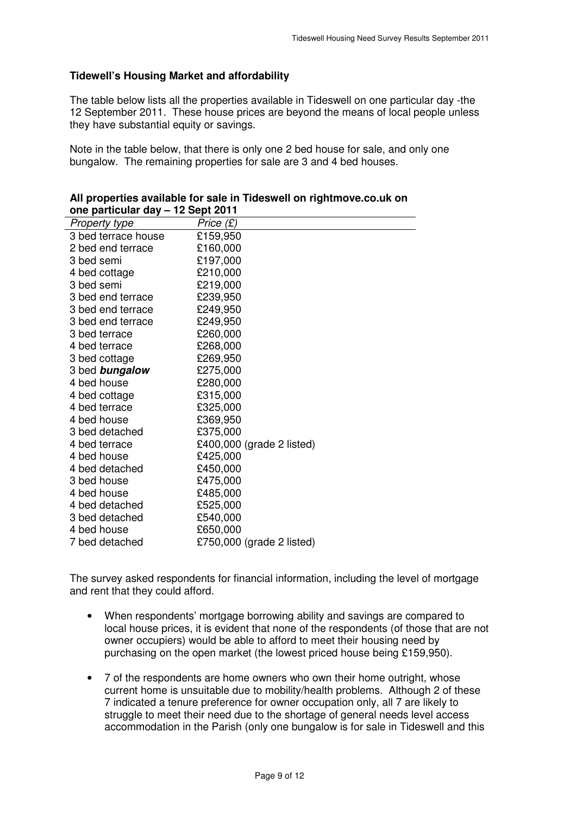# **Tidewell's Housing Market and affordability**

 The table below lists all the properties available in Tideswell on one particular day -the 12 September 2011. These house prices are beyond the means of local people unless they have substantial equity or savings.

 Note in the table below, that there is only one 2 bed house for sale, and only one bungalow. The remaining properties for sale are 3 and 4 bed houses.

| $\frac{1}{2}$ barncular day $-$ iz bept zur i |                           |
|-----------------------------------------------|---------------------------|
| Property type                                 | Price (£)                 |
| 3 bed terrace house                           | £159,950                  |
| 2 bed end terrace                             | £160,000                  |
| 3 bed semi                                    | £197,000                  |
| 4 bed cottage                                 | £210,000                  |
| 3 bed semi                                    | £219,000                  |
| 3 bed end terrace                             | £239,950                  |
| 3 bed end terrace                             | £249,950                  |
| 3 bed end terrace                             | £249,950                  |
| 3 bed terrace                                 | £260,000                  |
| 4 bed terrace                                 | £268,000                  |
| 3 bed cottage                                 | £269,950                  |
| 3 bed <b>bungalow</b>                         | £275,000                  |
| 4 bed house                                   | £280,000                  |
| 4 bed cottage                                 | £315,000                  |
| 4 bed terrace                                 | £325,000                  |
| 4 bed house                                   | £369,950                  |
| 3 bed detached                                | £375,000                  |
| 4 bed terrace                                 | £400,000 (grade 2 listed) |
| 4 bed house                                   | £425,000                  |
| 4 bed detached                                | £450,000                  |
| 3 bed house                                   | £475,000                  |
| 4 bed house                                   | £485,000                  |
| 4 bed detached                                | £525,000                  |
| 3 bed detached                                | £540,000                  |
| 4 bed house                                   | £650,000                  |
| 7 bed detached                                | £750,000 (grade 2 listed) |

| All properties available for sale in Tideswell on rightmove.co.uk on |
|----------------------------------------------------------------------|
| one particular day - 12 Sept 2011                                    |

 The survey asked respondents for financial information, including the level of mortgage and rent that they could afford.

- $\bullet$  local house prices, it is evident that none of the respondents (of those that are not owner occupiers) would be able to afford to meet their housing need by purchasing on the open market (the lowest priced house being £159,950). • When respondents' mortgage borrowing ability and savings are compared to
- • 7 of the respondents are home owners who own their home outright, whose current home is unsuitable due to mobility/health problems. Although 2 of these 7 indicated a tenure preference for owner occupation only, all 7 are likely to struggle to meet their need due to the shortage of general needs level access accommodation in the Parish (only one bungalow is for sale in Tideswell and this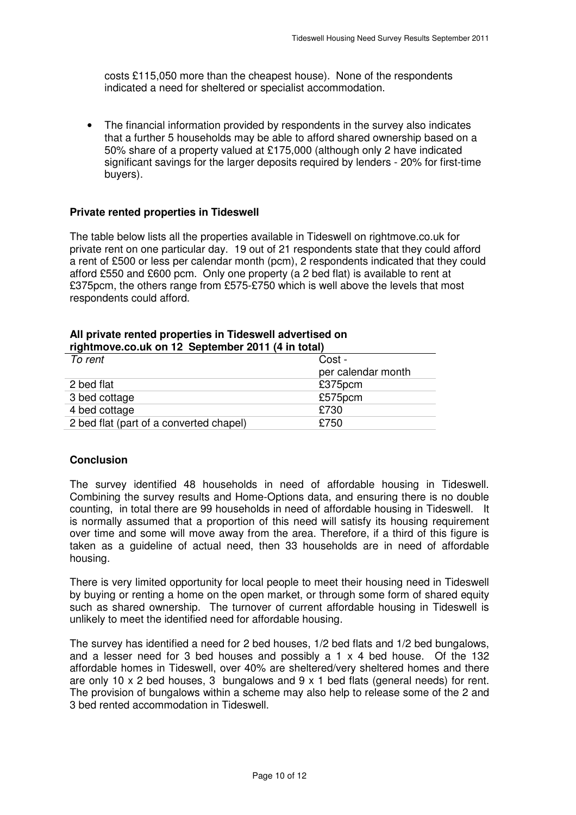costs £115,050 more than the cheapest house). None of the respondents indicated a need for sheltered or specialist accommodation.

 • The financial information provided by respondents in the survey also indicates that a further 5 households may be able to afford shared ownership based on a 50% share of a property valued at £175,000 (although only 2 have indicated significant savings for the larger deposits required by lenders - 20% for first-time buyers).

#### **Private rented properties in Tideswell**

 The table below lists all the properties available in Tideswell on [rightmove.co.uk](https://rightmove.co.uk) for private rent on one particular day. 19 out of 21 respondents state that they could afford a rent of £500 or less per calendar month (pcm), 2 respondents indicated that they could afford £550 and £600 pcm. Only one property (a 2 bed flat) is available to rent at £375pcm, the others range from £575-£750 which is well above the levels that most respondents could afford.

| rightmove.co.uk on 12 September 2011 (4 in total) |                    |  |  |  |
|---------------------------------------------------|--------------------|--|--|--|
| To rent                                           | Cost -             |  |  |  |
|                                                   | per calendar month |  |  |  |
| 2 bed flat                                        | £375pcm            |  |  |  |
| 3 bed cottage                                     | £575pcm            |  |  |  |
| 4 bed cottage                                     | £730               |  |  |  |
| 2 bed flat (part of a converted chapel)           | £750               |  |  |  |

# **All private rented properties in Tideswell advertised on**

#### **Conclusion**

 The survey identified 48 households in need of affordable housing in Tideswell. Combining the survey results and Home-Options data, and ensuring there is no double counting, in total there are 99 households in need of affordable housing in Tideswell. It is normally assumed that a proportion of this need will satisfy its housing requirement over time and some will move away from the area. Therefore, if a third of this figure is taken as a guideline of actual need, then 33 households are in need of affordable housing.

housing.<br>There is very limited opportunity for local people to meet their housing need in Tideswell by buying or renting a home on the open market, or through some form of shared equity such as shared ownership. The turnover of current affordable housing in Tideswell is unlikely to meet the identified need for affordable housing.

 The survey has identified a need for 2 bed houses, 1/2 bed flats and 1/2 bed bungalows, and a lesser need for 3 bed houses and possibly a 1 x 4 bed house. Of the 132 affordable homes in Tideswell, over 40% are sheltered/very sheltered homes and there are only 10 x 2 bed houses, 3 bungalows and 9 x 1 bed flats (general needs) for rent. The provision of bungalows within a scheme may also help to release some of the 2 and 3 bed rented accommodation in Tideswell.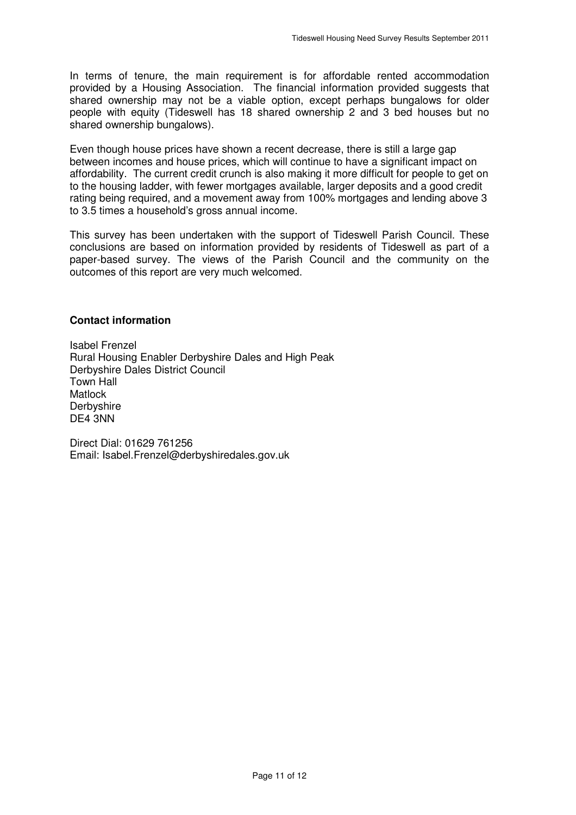In terms of tenure, the main requirement is for affordable rented accommodation provided by a Housing Association. The financial information provided suggests that shared ownership may not be a viable option, except perhaps bungalows for older people with equity (Tideswell has 18 shared ownership 2 and 3 bed houses but no shared ownership bungalows).

 Even though house prices have shown a recent decrease, there is still a large gap between incomes and house prices, which will continue to have a significant impact on affordability. The current credit crunch is also making it more difficult for people to get on to the housing ladder, with fewer mortgages available, larger deposits and a good credit rating being required, and a movement away from 100% mortgages and lending above 3 to 3.5 times a household's gross annual income.

 This survey has been undertaken with the support of Tideswell Parish Council. These conclusions are based on information provided by residents of Tideswell as part of a paper-based survey. The views of the Parish Council and the community on the outcomes of this report are very much welcomed.

#### **Contact information**

 Isabel Frenzel Rural Housing Enabler Derbyshire Dales and High Peak Derbyshire Dales District Council Town Hall DE4 3NN Matlock **Derbyshire** 

 Direct Dial: 01629 761256 Email: Isabel.Frenzel@derbyshiredales.gov.uk